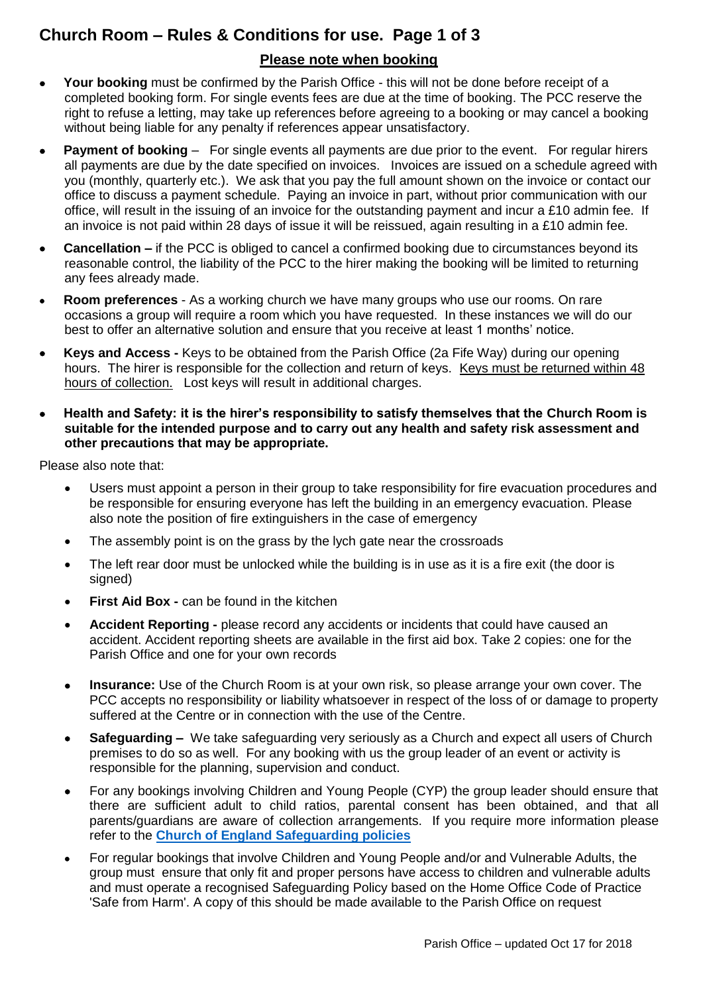# **Church Room – Rules & Conditions for use. Page 1 of 3**

## **Please note when booking**

- **Your booking** must be confirmed by the Parish Office this will not be done before receipt of a completed booking form. For single events fees are due at the time of booking. The PCC reserve the right to refuse a letting, may take up references before agreeing to a booking or may cancel a booking without being liable for any penalty if references appear unsatisfactory.
- **Payment of booking** For single events all payments are due prior to the event. For regular hirers all payments are due by the date specified on invoices. Invoices are issued on a schedule agreed with you (monthly, quarterly etc.). We ask that you pay the full amount shown on the invoice or contact our office to discuss a payment schedule. Paying an invoice in part, without prior communication with our office, will result in the issuing of an invoice for the outstanding payment and incur a £10 admin fee. If an invoice is not paid within 28 days of issue it will be reissued, again resulting in a £10 admin fee.
- **Cancellation –** if the PCC is obliged to cancel a confirmed booking due to circumstances beyond its reasonable control, the liability of the PCC to the hirer making the booking will be limited to returning any fees already made.
- **Room preferences** As a working church we have many groups who use our rooms. On rare occasions a group will require a room which you have requested. In these instances we will do our best to offer an alternative solution and ensure that you receive at least 1 months' notice.
- **Keys and Access -** Keys to be obtained from the Parish Office (2a Fife Way) during our opening hours. The hirer is responsible for the collection and return of keys. Keys must be returned within 48 hours of collection. Lost keys will result in additional charges.
- **Health and Safety: it is the hirer's responsibility to satisfy themselves that the Church Room is suitable for the intended purpose and to carry out any health and safety risk assessment and other precautions that may be appropriate.**

Please also note that:

- Users must appoint a person in their group to take responsibility for fire evacuation procedures and be responsible for ensuring everyone has left the building in an emergency evacuation. Please also note the position of fire extinguishers in the case of emergency
- The assembly point is on the grass by the lych gate near the crossroads
- The left rear door must be unlocked while the building is in use as it is a fire exit (the door is signed)
- **First Aid Box -** can be found in the kitchen
- **Accident Reporting -** please record any accidents or incidents that could have caused an accident. Accident reporting sheets are available in the first aid box. Take 2 copies: one for the Parish Office and one for your own records
- **Insurance:** Use of the Church Room is at your own risk, so please arrange your own cover. The PCC accepts no responsibility or liability whatsoever in respect of the loss of or damage to property suffered at the Centre or in connection with the use of the Centre.
- **Safeguarding** We take safeguarding very seriously as a Church and expect all users of Church premises to do so as well. For any booking with us the group leader of an event or activity is responsible for the planning, supervision and conduct.
- For any bookings involving Children and Young People (CYP) the group leader should ensure that there are sufficient adult to child ratios, parental consent has been obtained, and that all parents/guardians are aware of collection arrangements. If you require more information please refer to the **[Church of England Safeguarding policies](http://www.cofeguildford.org.uk/about/safeguarding-inclusion/safeguarding-policy-and-implementation)**
- For regular bookings that involve Children and Young People and/or and Vulnerable Adults, the group must ensure that only fit and proper persons have access to children and vulnerable adults and must operate a recognised Safeguarding Policy based on the Home Office Code of Practice 'Safe from Harm'. A copy of this should be made available to the Parish Office on request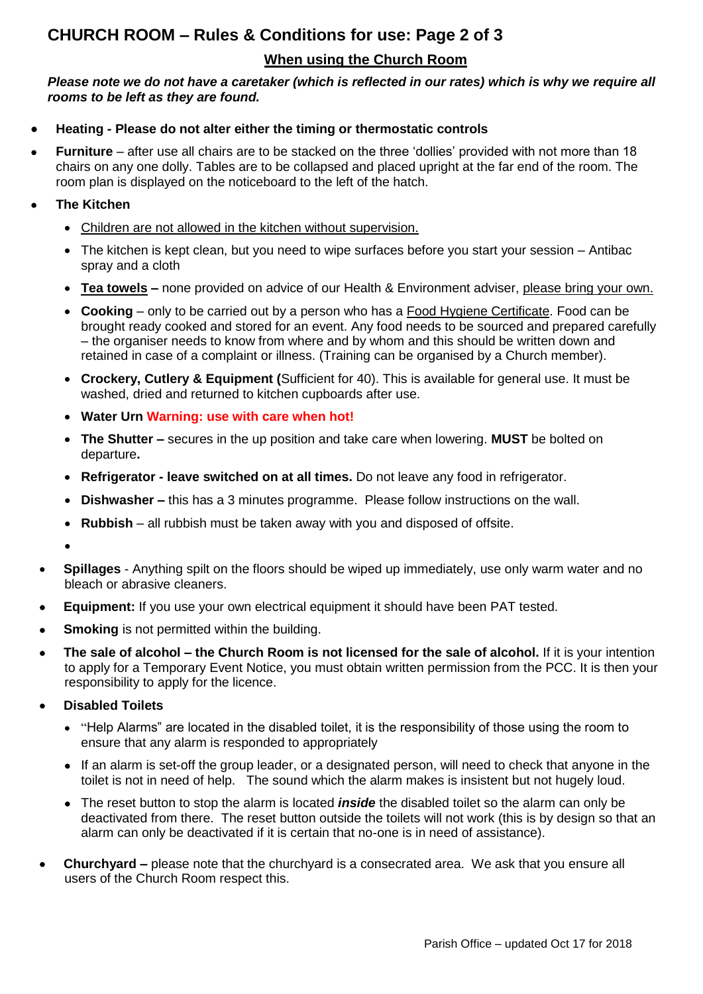# **CHURCH ROOM – Rules & Conditions for use: Page 2 of 3**

## **When using the Church Room**

#### *Please note we do not have a caretaker (which is reflected in our rates) which is why we require all rooms to be left as they are found.*

#### **Heating - Please do not alter either the timing or thermostatic controls**

 **Furniture** – after use all chairs are to be stacked on the three 'dollies' provided with not more than 18 chairs on any one dolly. Tables are to be collapsed and placed upright at the far end of the room. The room plan is displayed on the noticeboard to the left of the hatch.

#### **The Kitchen**

- Children are not allowed in the kitchen without supervision.
- The kitchen is kept clean, but you need to wipe surfaces before you start your session Antibac spray and a cloth
- **Tea towels –** none provided on advice of our Health & Environment adviser, please bring your own.
- **Cooking**  only to be carried out by a person who has a Food Hygiene Certificate. Food can be brought ready cooked and stored for an event. Any food needs to be sourced and prepared carefully – the organiser needs to know from where and by whom and this should be written down and retained in case of a complaint or illness. (Training can be organised by a Church member).
- **Crockery, Cutlery & Equipment (**Sufficient for 40). This is available for general use. It must be washed, dried and returned to kitchen cupboards after use.
- **Water Urn Warning: use with care when hot!**
- **The Shutter –** secures in the up position and take care when lowering. **MUST** be bolted on departure**.**
- **Refrigerator - leave switched on at all times.** Do not leave any food in refrigerator.
- **Dishwasher –** this has a 3 minutes programme. Please follow instructions on the wall.
- **Rubbish**  all rubbish must be taken away with you and disposed of offsite.

 $\bullet$ 

- **Spillages** Anything spilt on the floors should be wiped up immediately, use only warm water and no bleach or abrasive cleaners.
- **Equipment:** If you use your own electrical equipment it should have been PAT tested.
- **Smoking** is not permitted within the building.
- **The sale of alcohol – the Church Room is not licensed for the sale of alcohol.** If it is your intention to apply for a Temporary Event Notice, you must obtain written permission from the PCC. It is then your responsibility to apply for the licence.

#### **Disabled Toilets**

- "Help Alarms" are located in the disabled toilet, it is the responsibility of those using the room to ensure that any alarm is responded to appropriately
- If an alarm is set-off the group leader, or a designated person, will need to check that anyone in the toilet is not in need of help. The sound which the alarm makes is insistent but not hugely loud.
- The reset button to stop the alarm is located *inside* the disabled toilet so the alarm can only be deactivated from there. The reset button outside the toilets will not work (this is by design so that an alarm can only be deactivated if it is certain that no-one is in need of assistance).
- **Churchyard –** please note that the churchyard is a consecrated area. We ask that you ensure all users of the Church Room respect this.